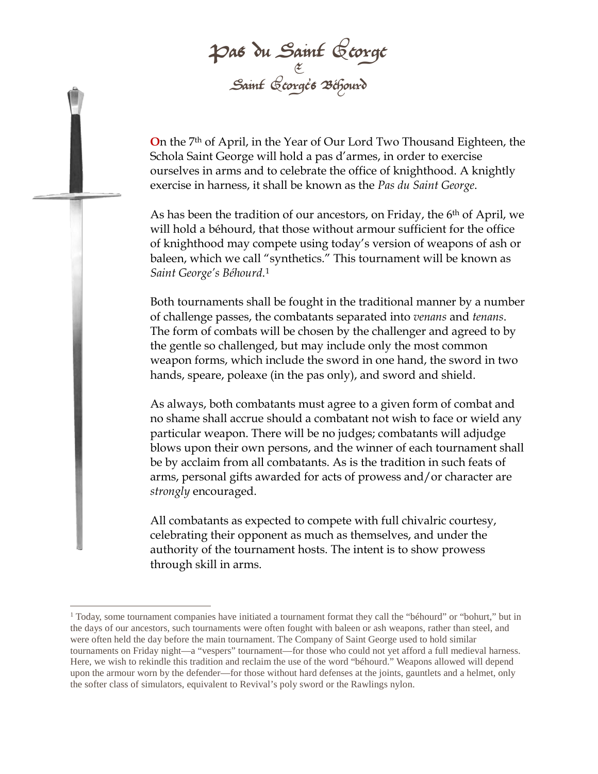Pas du Saint George & Saint George's Béhourd

**O**n the 7th of April, in the Year of Our Lord Two Thousand Eighteen, the Schola Saint George will hold a pas d'armes, in order to exercise ourselves in arms and to celebrate the office of knighthood. A knightly exercise in harness, it shall be known as the *Pas du Saint George*.

As has been the tradition of our ancestors, on Friday, the 6<sup>th</sup> of April, we will hold a béhourd, that those without armour sufficient for the office of knighthood may compete using today's version of weapons of ash or baleen, which we call "synthetics." This tournament will be known as *Saint George's Béhourd*.[1](#page-0-0)

Both tournaments shall be fought in the traditional manner by a number of challenge passes, the combatants separated into *venans* and *tenans*. The form of combats will be chosen by the challenger and agreed to by the gentle so challenged, but may include only the most common weapon forms, which include the sword in one hand, the sword in two hands, speare, poleaxe (in the pas only), and sword and shield.

As always, both combatants must agree to a given form of combat and no shame shall accrue should a combatant not wish to face or wield any particular weapon. There will be no judges; combatants will adjudge blows upon their own persons, and the winner of each tournament shall be by acclaim from all combatants. As is the tradition in such feats of arms, personal gifts awarded for acts of prowess and/or character are *strongly* encouraged.

All combatants as expected to compete with full chivalric courtesy, celebrating their opponent as much as themselves, and under the authority of the tournament hosts. The intent is to show prowess through skill in arms.

<span id="page-0-0"></span><sup>1</sup> Today, some tournament companies have initiated a tournament format they call the "béhourd" or "bohurt," but in the days of our ancestors, such tournaments were often fought with baleen or ash weapons, rather than steel, and were often held the day before the main tournament. The Company of Saint George used to hold similar tournaments on Friday night—a "vespers" tournament—for those who could not yet afford a full medieval harness. Here, we wish to rekindle this tradition and reclaim the use of the word "béhourd." Weapons allowed will depend upon the armour worn by the defender—for those without hard defenses at the joints, gauntlets and a helmet, only the softer class of simulators, equivalent to Revival's poly sword or the Rawlings nylon.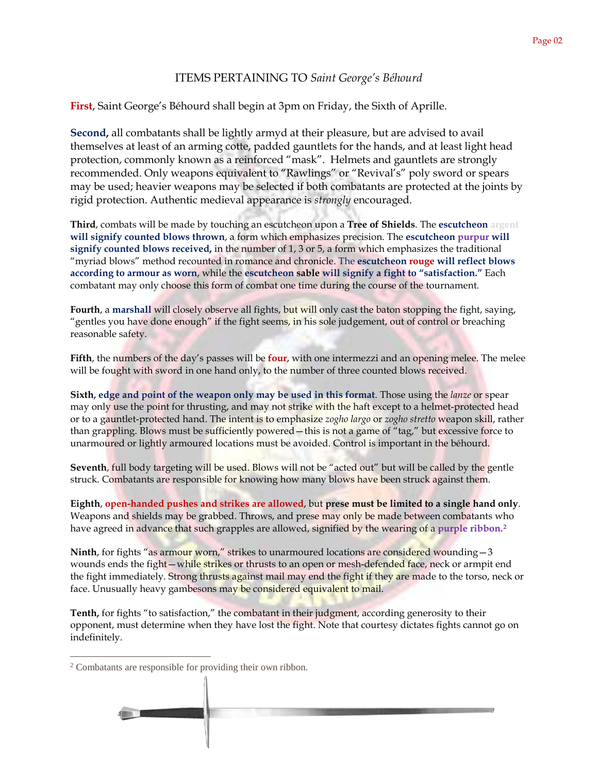## ITEMS PERTAINING TO *Saint George's Béhourd*

**First**, Saint George's Béhourd shall begin at 3pm on Friday, the Sixth of Aprille.

**Second,** all combatants shall be lightly armyd at their pleasure, but are advised to avail themselves at least of an arming cotte, padded gauntlets for the hands, and at least light head protection, commonly known as a reinforced "mask". Helmets and gauntlets are strongly recommended. Only weapons equivalent to "Rawlings" or "Revival's" poly sword or spears may be used; heavier weapons may be selected if both combatants are protected at the joints by rigid protection. Authentic medieval appearance is *strongly* encouraged.

**Third**, combats will be made by touching an escutcheon upon a **Tree of Shields**. The **escutcheon argent will signify counted blows thrown**, a form which emphasizes precision. The **escutcheon purpur will signify counted blows received,** in the number of 1, 3 or 5, a form which emphasizes the traditional "myriad blows" method recounted in romance and chronicle. The **escutcheon rouge will reflect blows according to armour as worn**, while the **escutcheon sable will signify a fight to "satisfaction."** Each combatant may only choose this form of combat one time during the course of the tournament.

**Fourth**, a **marshall** will closely observe all fights, but will only cast the baton stopping the fight, saying, "gentles you have done enough" if the fight seems, in his sole judgement, out of control or breaching reasonable safety.

**Fifth**, the numbers of the day's passes will be **four**, with one intermezzi and an opening melee. The melee will be fought with sword in one hand only, to the number of three counted blows received.

**Sixth, edge and point of the weapon only may be used in this format**. Those using the *lanze* or spear may only use the point for thrusting, and may not strike with the haft except to a helmet-protected head or to a gauntlet-protected hand. The intent is to emphasize *zogho largo* or *zogho stretto* weapon skill, rather than grappling. Blows must be sufficiently powered—this is not a game of "tag," but excessive force to unarmoured or lightly armoured locations must be avoided. Control is important in the béhourd.

Seventh, full body targeting will be used. Blows will not be "acted out" but will be called by the gentle struck. Combatants are responsible for knowing how many blows have been struck against them.

**Eighth**, **open-handed pushes and strikes are allowed**, but **prese must be limited to a single hand only**. Weapons and shields may be grabbed. Throws, and prese may only be made between combatants who have agreed in advance that such grapples are allowed, signified by the wearing of a **purple ribbon.[2](#page-1-0)**

**Ninth**, for fights "as armour worn," strikes to unarmoured locations are considered wounding – 3 wounds ends the fight—while strikes or thrusts to an open or mesh-defended face, neck or armpit end the fight immediately. Strong thrusts against mail may end the fight if they are made to the torso, neck or face. Unusually heavy gambesons may be considered equivalent to mail.

**Tenth,** for fights "to satisfaction," the combatant in their judgment, according generosity to their opponent, must determine when they have lost the fight. Note that courtesy dictates fights cannot go on indefinitely.

<span id="page-1-0"></span><sup>2</sup> Combatants are responsible for providing their own ribbon.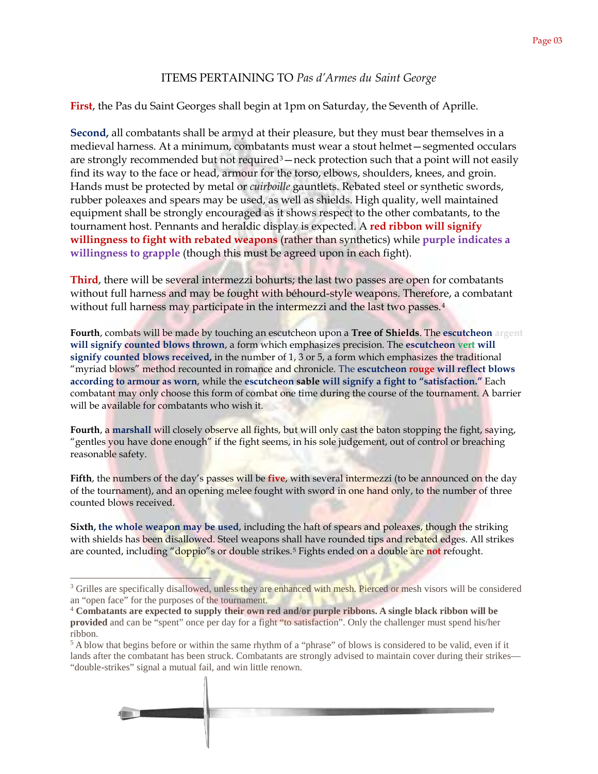## ITEMS PERTAINING TO *Pas d'Armes du Saint George*

**First**, the Pas du Saint Georges shall begin at 1pm on Saturday, the Seventh of Aprille.

**Second,** all combatants shall be armyd at their pleasure, but they must bear themselves in a medieval harness. At a minimum, combatants must wear a stout helmet—segmented occulars are strongly recommended but not required<sup>3</sup> — neck protection such that a point will not easily find its way to the face or head, armour for the torso, elbows, shoulders, knees, and groin. Hands must be protected by metal or *cuirboille* gauntlets. Rebated steel or synthetic swords, rubber poleaxes and spears may be used, as well as shields. High quality, well maintained equipment shall be strongly encouraged as it shows respect to the other combatants, to the tournament host. Pennants and heraldic display is expected. A **red ribbon will signify willingness to fight with rebated weapons** (rather than synthetics) while **purple indicates a willingness to grapple** (though this must be agreed upon in each fight).

**Third**, there will be several intermezzi bohurts; the last two passes are open for combatants without full harness and may be fought with béhourd-style weapons. Therefore, a combatant without full harness may participate in the intermezzi and the last two passes.<sup>[4](#page-2-1)</sup>

**Fourth**, combats will be made by touching an escutcheon upon a **Tree of Shields**. The **escutcheon argent will signify counted blows thrown**, a form which emphasizes precision. The **escutcheon vert will signify counted blows received,** in the number of 1, 3 or 5, a form which emphasizes the traditional "myriad blows" method recounted in romance and chronicle. The **escutcheon rouge will reflect blows according to armour as worn**, while the **escutcheon sable will signify a fight to "satisfaction."** Each combatant may only choose this form of combat one time during the course of the tournament. A barrier will be available for combatants who wish it.

**Fourth**, a **marshall** will closely observe all fights, but will only cast the baton stopping the fight, saying, "gentles you have done enough" if the fight seems, in his sole judgement, out of control or breaching reasonable safety.

**Fifth**, the numbers of the day's passes will be **five**, with several intermezzi (to be announced on the day of the tournament), and an opening melee fought with sword in one hand only, to the number of three counted blows received.

**Sixth, the whole weapon may be used**, including the haft of spears and poleaxes, though the striking with shields has been disallowed. Steel weapons shall have rounded tips and rebated edges. All strikes are counted, including "doppio"s or double strikes.[5](#page-2-2) Fights ended on a double are **not** refought.

<span id="page-2-2"></span> $5$  A blow that begins before or within the same rhythm of a "phrase" of blows is considered to be valid, even if it lands after the combatant has been struck. Combatants are strongly advised to maintain cover during their strikes— "double-strikes" signal a mutual fail, and win little renown.



<span id="page-2-0"></span><sup>&</sup>lt;sup>3</sup> Grilles are specifically disallowed, unless they are enhanced with mesh. Pierced or mesh visors will be considered an "open face" for the purposes of the tournament.<br><sup>4</sup> Combatants are expected to supply their own red and/or purple ribbons. A single black ribbon will be

<span id="page-2-1"></span>**provided** and can be "spent" once per day for a fight "to satisfaction". Only the challenger must spend his/her ribbon.